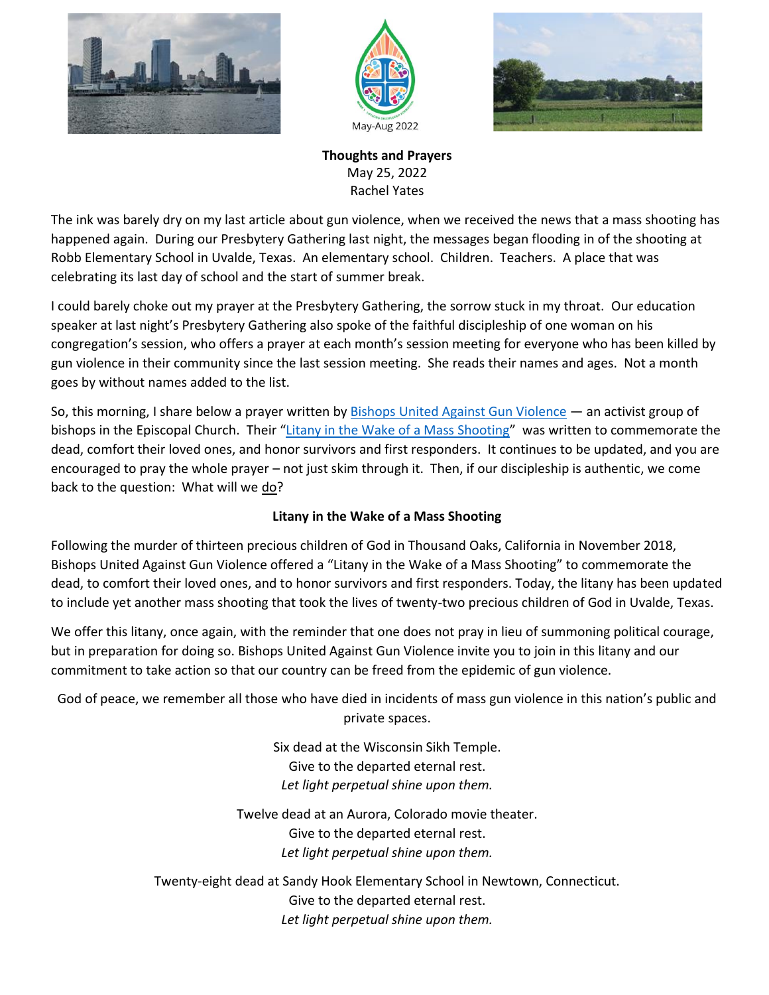





**Thoughts and Prayers** May 25, 2022 Rachel Yates

The ink was barely dry on my last article about gun violence, when we received the news that a mass shooting has happened again. During our Presbytery Gathering last night, the messages began flooding in of the shooting at Robb Elementary School in Uvalde, Texas. An elementary school. Children. Teachers. A place that was celebrating its last day of school and the start of summer break.

I could barely choke out my prayer at the Presbytery Gathering, the sorrow stuck in my throat. Our education speaker at last night's Presbytery Gathering also spoke of the faithful discipleship of one woman on his congregation's session, who offers a prayer at each month's session meeting for everyone who has been killed by gun violence in their community since the last session meeting. She reads their names and ages. Not a month goes by without names added to the list.

So, this morning, I share below a prayer written by **Bishops United Against Gun Violence** — an activist group of bishops in the Episcopal Church. Their "[Litany in the Wake of a Mass Shooting](https://substack.com/redirect/9eeb8bc3-74d9-4423-80ae-8dafe60e5370?u=10381825)" was written to commemorate the dead, comfort their loved ones, and honor survivors and first responders. It continues to be updated, and you are encouraged to pray the whole prayer – not just skim through it. Then, if our discipleship is authentic, we come back to the question: What will we do?

## **Litany in the Wake of a Mass Shooting**

Following the murder of thirteen precious children of God in Thousand Oaks, California in November 2018, Bishops United Against Gun Violence offered a "Litany in the Wake of a Mass Shooting" to commemorate the dead, to comfort their loved ones, and to honor survivors and first responders. Today, the litany has been updated to include yet another mass shooting that took the lives of twenty-two precious children of God in Uvalde, Texas.

We offer this litany, once again, with the reminder that one does not pray in lieu of summoning political courage, but in preparation for doing so. Bishops United Against Gun Violence invite you to join in this litany and our commitment to take action so that our country can be freed from the epidemic of gun violence.

God of peace, we remember all those who have died in incidents of mass gun violence in this nation's public and private spaces.

> Six dead at the Wisconsin Sikh Temple. Give to the departed eternal rest. *Let light perpetual shine upon them.*

Twelve dead at an Aurora, Colorado movie theater. Give to the departed eternal rest. *Let light perpetual shine upon them.*

Twenty-eight dead at Sandy Hook Elementary School in Newtown, Connecticut. Give to the departed eternal rest. *Let light perpetual shine upon them.*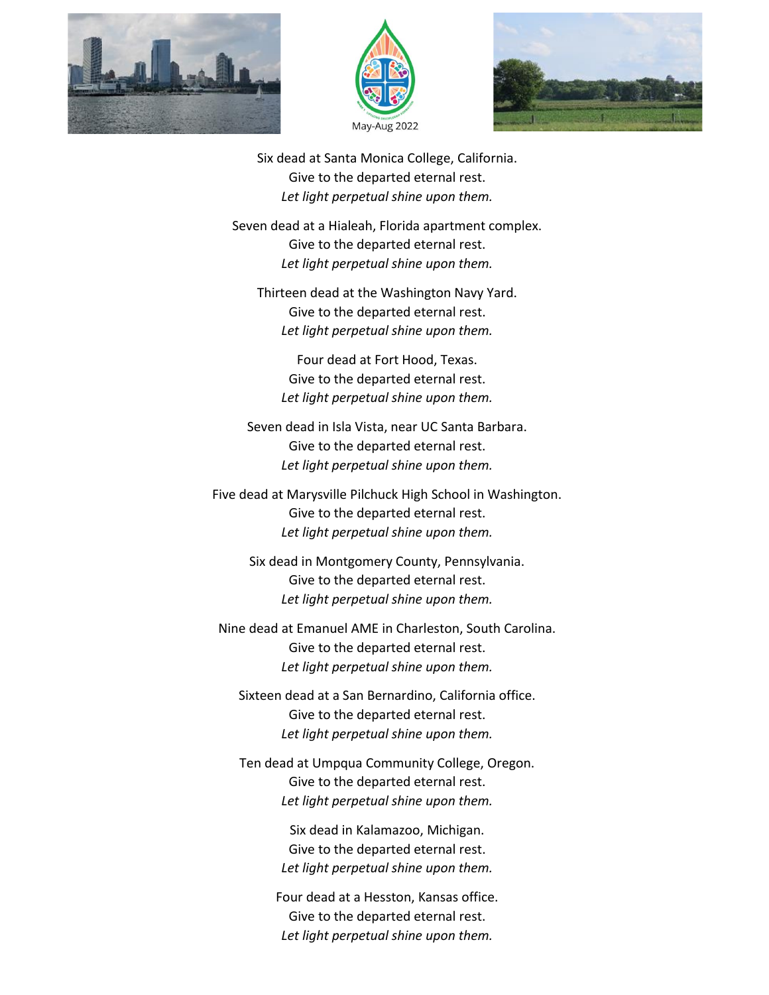





Six dead at Santa Monica College, California. Give to the departed eternal rest. *Let light perpetual shine upon them.*

Seven dead at a Hialeah, Florida apartment complex. Give to the departed eternal rest. *Let light perpetual shine upon them.*

Thirteen dead at the Washington Navy Yard. Give to the departed eternal rest. *Let light perpetual shine upon them.*

Four dead at Fort Hood, Texas. Give to the departed eternal rest. *Let light perpetual shine upon them.*

Seven dead in Isla Vista, near UC Santa Barbara. Give to the departed eternal rest. *Let light perpetual shine upon them.*

Five dead at Marysville Pilchuck High School in Washington. Give to the departed eternal rest. *Let light perpetual shine upon them.*

> Six dead in Montgomery County, Pennsylvania. Give to the departed eternal rest. *Let light perpetual shine upon them.*

Nine dead at Emanuel AME in Charleston, South Carolina. Give to the departed eternal rest. *Let light perpetual shine upon them.*

Sixteen dead at a San Bernardino, California office. Give to the departed eternal rest. *Let light perpetual shine upon them.*

Ten dead at Umpqua Community College, Oregon. Give to the departed eternal rest. *Let light perpetual shine upon them.*

> Six dead in Kalamazoo, Michigan. Give to the departed eternal rest. *Let light perpetual shine upon them.*

Four dead at a Hesston, Kansas office. Give to the departed eternal rest. *Let light perpetual shine upon them.*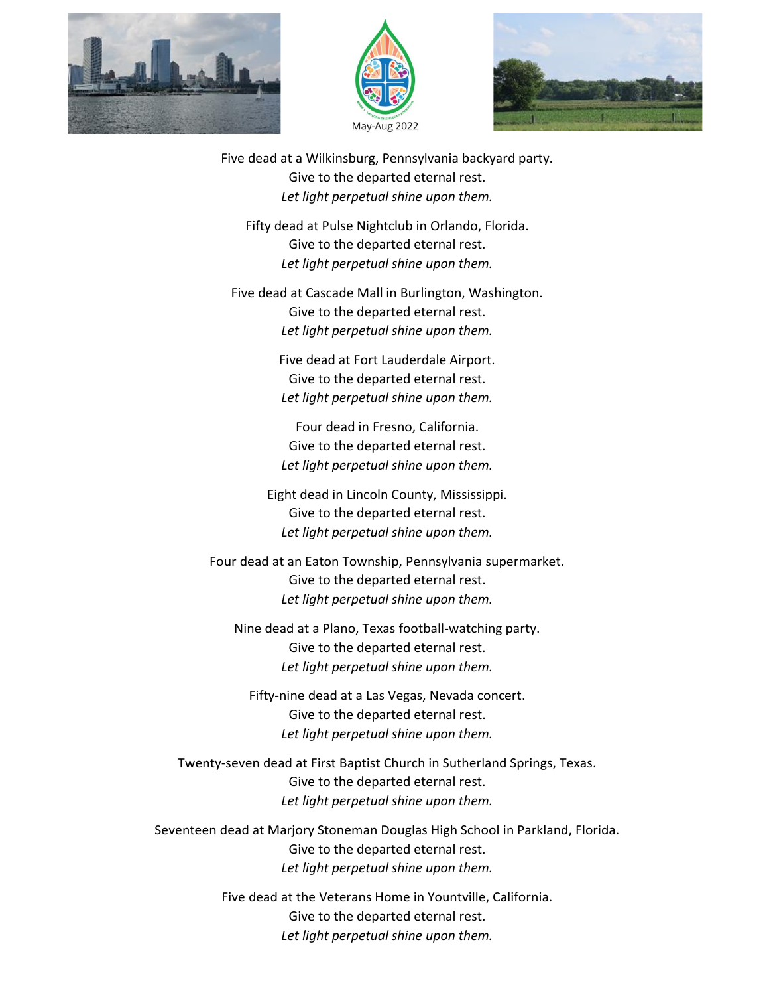





Five dead at a Wilkinsburg, Pennsylvania backyard party. Give to the departed eternal rest. *Let light perpetual shine upon them.*

Fifty dead at Pulse Nightclub in Orlando, Florida. Give to the departed eternal rest. *Let light perpetual shine upon them.*

Five dead at Cascade Mall in Burlington, Washington. Give to the departed eternal rest. *Let light perpetual shine upon them.*

> Five dead at Fort Lauderdale Airport. Give to the departed eternal rest. *Let light perpetual shine upon them.*

Four dead in Fresno, California. Give to the departed eternal rest. *Let light perpetual shine upon them.*

Eight dead in Lincoln County, Mississippi. Give to the departed eternal rest. *Let light perpetual shine upon them.*

Four dead at an Eaton Township, Pennsylvania supermarket. Give to the departed eternal rest. *Let light perpetual shine upon them.*

Nine dead at a Plano, Texas football-watching party. Give to the departed eternal rest. *Let light perpetual shine upon them.*

Fifty-nine dead at a Las Vegas, Nevada concert. Give to the departed eternal rest. *Let light perpetual shine upon them.*

Twenty-seven dead at First Baptist Church in Sutherland Springs, Texas. Give to the departed eternal rest. *Let light perpetual shine upon them.*

Seventeen dead at Marjory Stoneman Douglas High School in Parkland, Florida. Give to the departed eternal rest. *Let light perpetual shine upon them.*

> Five dead at the Veterans Home in Yountville, California. Give to the departed eternal rest. *Let light perpetual shine upon them.*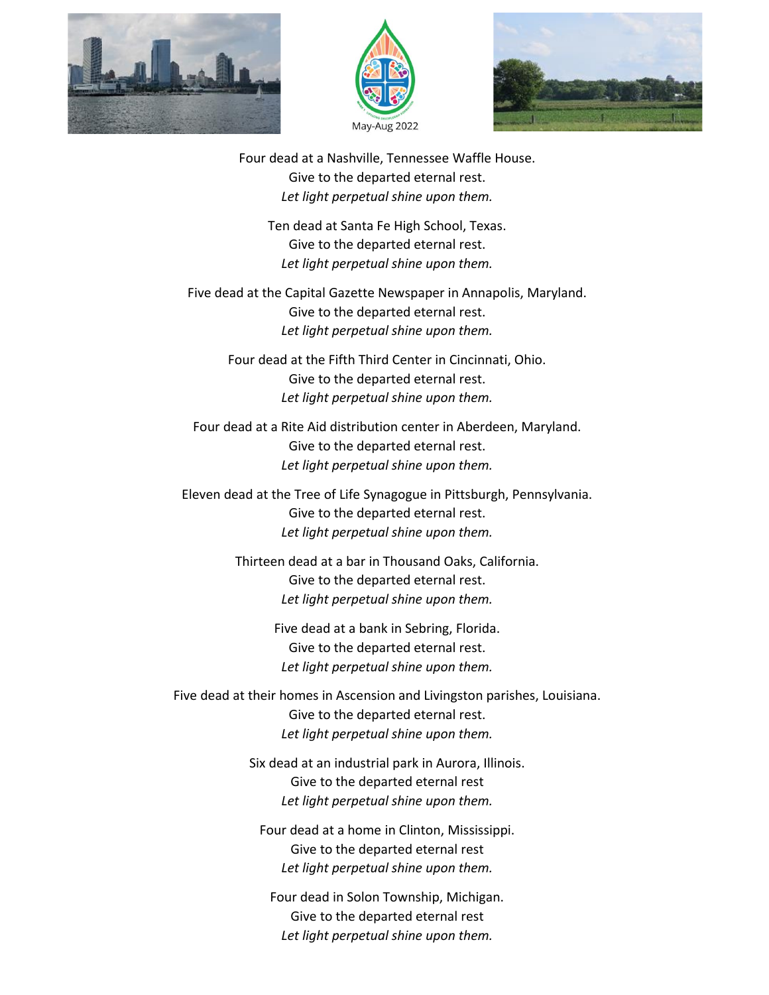





Four dead at a Nashville, Tennessee Waffle House. Give to the departed eternal rest. *Let light perpetual shine upon them.*

Ten dead at Santa Fe High School, Texas. Give to the departed eternal rest. *Let light perpetual shine upon them.*

Five dead at the Capital Gazette Newspaper in Annapolis, Maryland. Give to the departed eternal rest. *Let light perpetual shine upon them.*

> Four dead at the Fifth Third Center in Cincinnati, Ohio. Give to the departed eternal rest. *Let light perpetual shine upon them.*

Four dead at a Rite Aid distribution center in Aberdeen, Maryland. Give to the departed eternal rest. *Let light perpetual shine upon them.*

Eleven dead at the Tree of Life Synagogue in Pittsburgh, Pennsylvania. Give to the departed eternal rest. *Let light perpetual shine upon them.*

> Thirteen dead at a bar in Thousand Oaks, California. Give to the departed eternal rest. *Let light perpetual shine upon them.*

> > Five dead at a bank in Sebring, Florida. Give to the departed eternal rest. *Let light perpetual shine upon them.*

Five dead at their homes in Ascension and Livingston parishes, Louisiana. Give to the departed eternal rest. *Let light perpetual shine upon them.*

> Six dead at an industrial park in Aurora, Illinois. Give to the departed eternal rest *Let light perpetual shine upon them.*

Four dead at a home in Clinton, Mississippi. Give to the departed eternal rest *Let light perpetual shine upon them.*

Four dead in Solon Township, Michigan. Give to the departed eternal rest *Let light perpetual shine upon them.*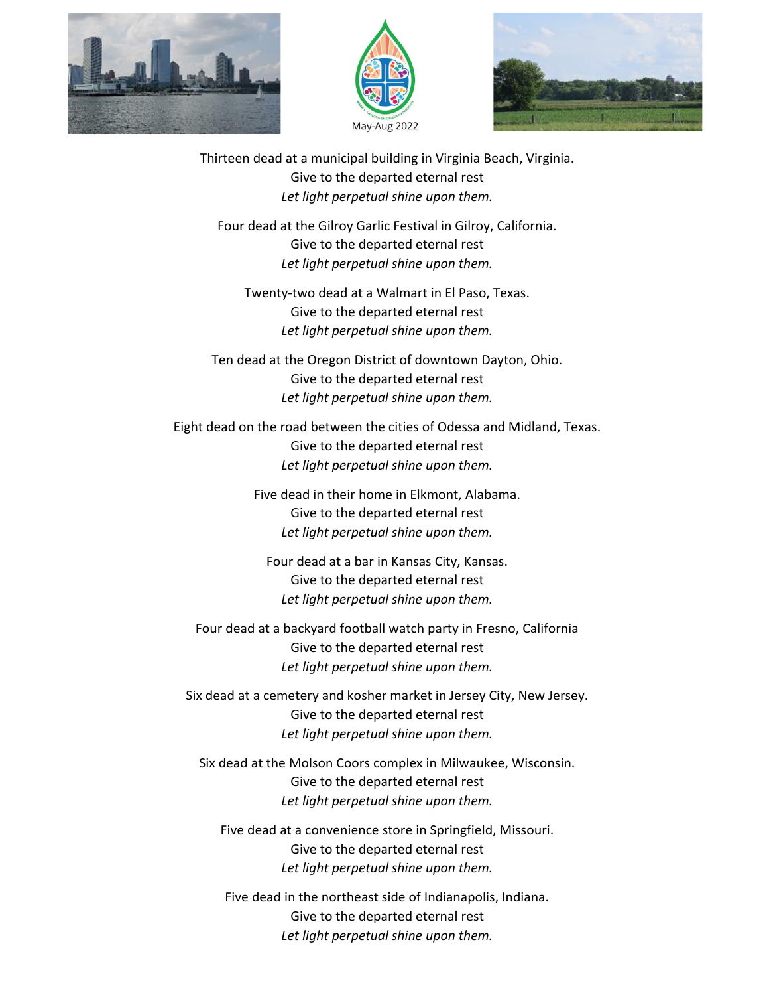





Thirteen dead at a municipal building in Virginia Beach, Virginia. Give to the departed eternal rest *Let light perpetual shine upon them.*

Four dead at the Gilroy Garlic Festival in Gilroy, California. Give to the departed eternal rest *Let light perpetual shine upon them.*

Twenty-two dead at a Walmart in El Paso, Texas. Give to the departed eternal rest *Let light perpetual shine upon them.*

Ten dead at the Oregon District of downtown Dayton, Ohio. Give to the departed eternal rest *Let light perpetual shine upon them.*

Eight dead on the road between the cities of Odessa and Midland, Texas. Give to the departed eternal rest *Let light perpetual shine upon them.*

> Five dead in their home in Elkmont, Alabama. Give to the departed eternal rest *Let light perpetual shine upon them.*

Four dead at a bar in Kansas City, Kansas. Give to the departed eternal rest *Let light perpetual shine upon them.*

Four dead at a backyard football watch party in Fresno, California Give to the departed eternal rest *Let light perpetual shine upon them.*

Six dead at a cemetery and kosher market in Jersey City, New Jersey. Give to the departed eternal rest *Let light perpetual shine upon them.*

Six dead at the Molson Coors complex in Milwaukee, Wisconsin. Give to the departed eternal rest *Let light perpetual shine upon them.*

Five dead at a convenience store in Springfield, Missouri. Give to the departed eternal rest *Let light perpetual shine upon them.*

Five dead in the northeast side of Indianapolis, Indiana. Give to the departed eternal rest *Let light perpetual shine upon them.*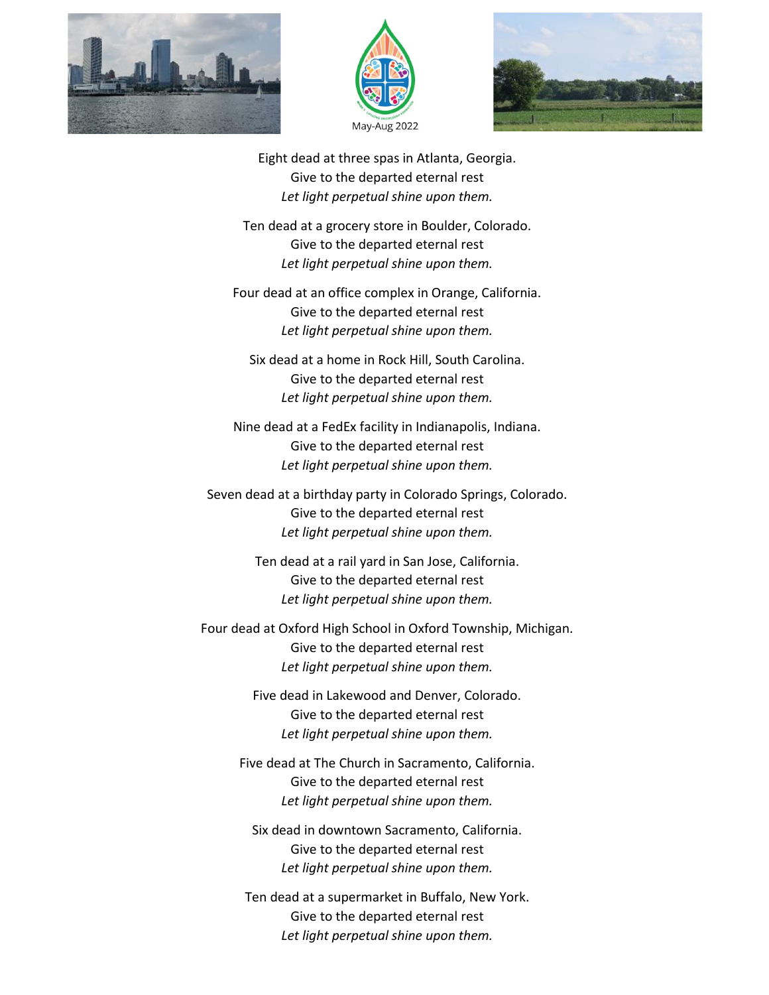





Eight dead at three spas in Atlanta, Georgia. Give to the departed eternal rest *Let light perpetual shine upon them.*

Ten dead at a grocery store in Boulder, Colorado. Give to the departed eternal rest *Let light perpetual shine upon them.*

Four dead at an office complex in Orange, California. Give to the departed eternal rest *Let light perpetual shine upon them.*

Six dead at a home in Rock Hill, South Carolina. Give to the departed eternal rest *Let light perpetual shine upon them.*

Nine dead at a FedEx facility in Indianapolis, Indiana. Give to the departed eternal rest *Let light perpetual shine upon them.*

Seven dead at a birthday party in Colorado Springs, Colorado. Give to the departed eternal rest *Let light perpetual shine upon them.*

> Ten dead at a rail yard in San Jose, California. Give to the departed eternal rest *Let light perpetual shine upon them.*

Four dead at Oxford High School in Oxford Township, Michigan. Give to the departed eternal rest *Let light perpetual shine upon them.*

> Five dead in Lakewood and Denver, Colorado. Give to the departed eternal rest *Let light perpetual shine upon them.*

Five dead at The Church in Sacramento, California. Give to the departed eternal rest *Let light perpetual shine upon them.*

Six dead in downtown Sacramento, California. Give to the departed eternal rest *Let light perpetual shine upon them.*

Ten dead at a supermarket in Buffalo, New York. Give to the departed eternal rest *Let light perpetual shine upon them.*